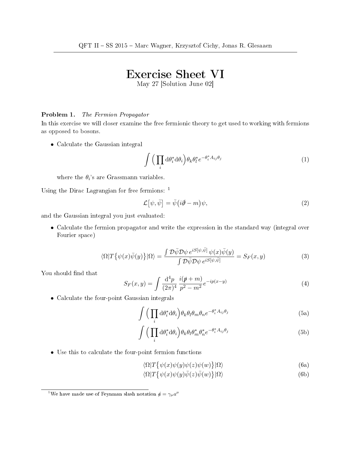## Exercise Sheet VI

May 27 [Solution June 02]

## Problem 1. The Fermion Propagator

In this exercise we will closer examine the free fermionic theory to get used to working with fermions as opposed to bosons.

• Calculate the Gaussian integral

$$
\int \left(\prod_i d\theta_i^* d\theta_i\right) \theta_k \theta_l^* e^{-\theta_i^* A_{ij} \theta_j} \tag{1}
$$

where the  $\theta_i$ 's are Grassmann variables.

Using the Dirac Lagrangian for free fermions: <sup>1</sup>

$$
\mathcal{L}[\psi,\bar{\psi}] = \bar{\psi}(i\partial - m)\psi,
$$
\n(2)

and the Gaussian integral you just evaluated:

• Calculate the fermion propagator and write the expression in the standard way (integral over Fourier space)

$$
\langle \Omega | T \{ \psi(x) \bar{\psi}(y) \} | \Omega \rangle = \frac{\int \mathcal{D} \bar{\psi} \mathcal{D} \psi \, e^{iS[\psi, \bar{\psi}]} \, \psi(x) \bar{\psi}(y)}{\int \mathcal{D} \bar{\psi} \mathcal{D} \psi \, e^{iS[\psi, \bar{\psi}]} } = S_F(x, y) \tag{3}
$$

You should find that

$$
S_F(x,y) = \int \frac{\mathrm{d}^4 p}{(2\pi)^4} \frac{i(p+m)}{p^2 - m^2} e^{-ip(x-y)} \tag{4}
$$

• Calculate the four-point Gaussian integrals

$$
\int \left(\prod_i \mathrm{d}\theta_i^* \mathrm{d}\theta_i\right) \theta_k \theta_l \theta_m \theta_n e^{-\theta_i^* A_{ij}\theta_j} \tag{5a}
$$

$$
\int \left(\prod_i \mathrm{d}\theta_i^* \mathrm{d}\theta_i\right) \theta_k \theta_l \theta_m^* \theta_n^* e^{-\theta_i^* A_{ij} \theta_j} \tag{5b}
$$

• Use this to calculate the four-point fermion functions

$$
\langle \Omega | T \{ \psi(x) \psi(y) \psi(z) \psi(w) \} | \Omega \rangle \tag{6a}
$$

$$
\langle \Omega | T \{ \psi(x) \psi(y) \bar{\psi}(z) \bar{\psi}(w) \} | \Omega \rangle \tag{6b}
$$

<sup>&</sup>lt;sup>1</sup>We have made use of Feynman slash notation  $\phi = \gamma_\mu a^\mu$